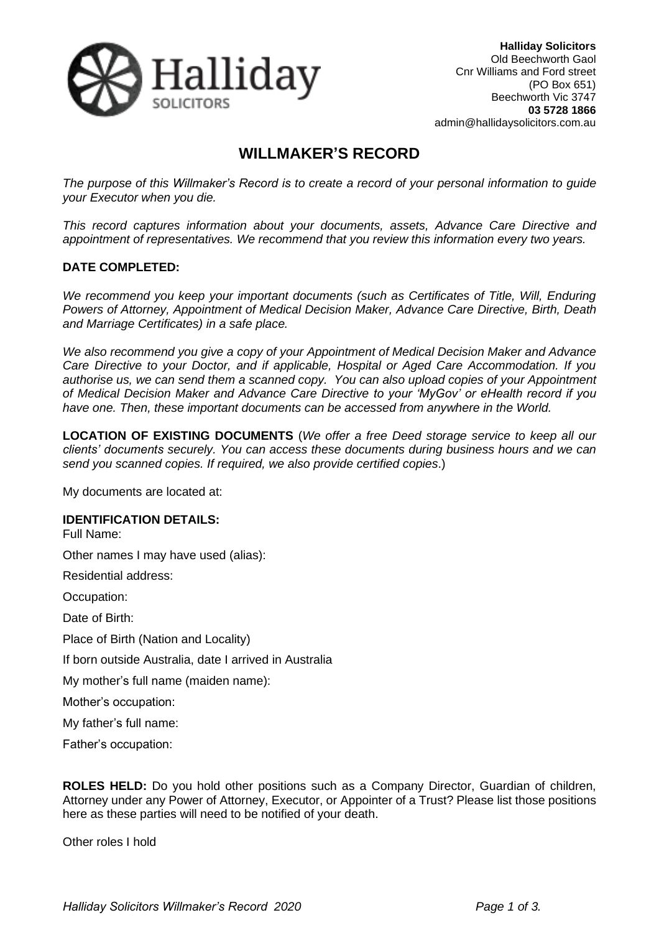

# **WILLMAKER'S RECORD**

*The purpose of this Willmaker's Record is to create a record of your personal information to guide your Executor when you die.*

*This record captures information about your documents, assets, Advance Care Directive and appointment of representatives. We recommend that you review this information every two years.* 

### **DATE COMPLETED:**

*We recommend you keep your important documents (such as Certificates of Title, Will, Enduring Powers of Attorney, Appointment of Medical Decision Maker, Advance Care Directive, Birth, Death and Marriage Certificates) in a safe place.*

*We also recommend you give a copy of your Appointment of Medical Decision Maker and Advance Care Directive to your Doctor, and if applicable, Hospital or Aged Care Accommodation. If you authorise us, we can send them a scanned copy. You can also upload copies of your Appointment of Medical Decision Maker and Advance Care Directive to your 'MyGov' or eHealth record if you have one. Then, these important documents can be accessed from anywhere in the World.*

**LOCATION OF EXISTING DOCUMENTS** (*We offer a free Deed storage service to keep all our clients' documents securely. You can access these documents during business hours and we can send you scanned copies. If required, we also provide certified copies*.)

My documents are located at:

#### **IDENTIFICATION DETAILS:**

Full Name:

Other names I may have used (alias):

Residential address:

Occupation:

Date of Birth:

Place of Birth (Nation and Locality)

If born outside Australia, date I arrived in Australia

My mother's full name (maiden name):

Mother's occupation:

My father's full name:

Father's occupation:

**ROLES HELD:** Do you hold other positions such as a Company Director, Guardian of children, Attorney under any Power of Attorney, Executor, or Appointer of a Trust? Please list those positions here as these parties will need to be notified of your death.

Other roles I hold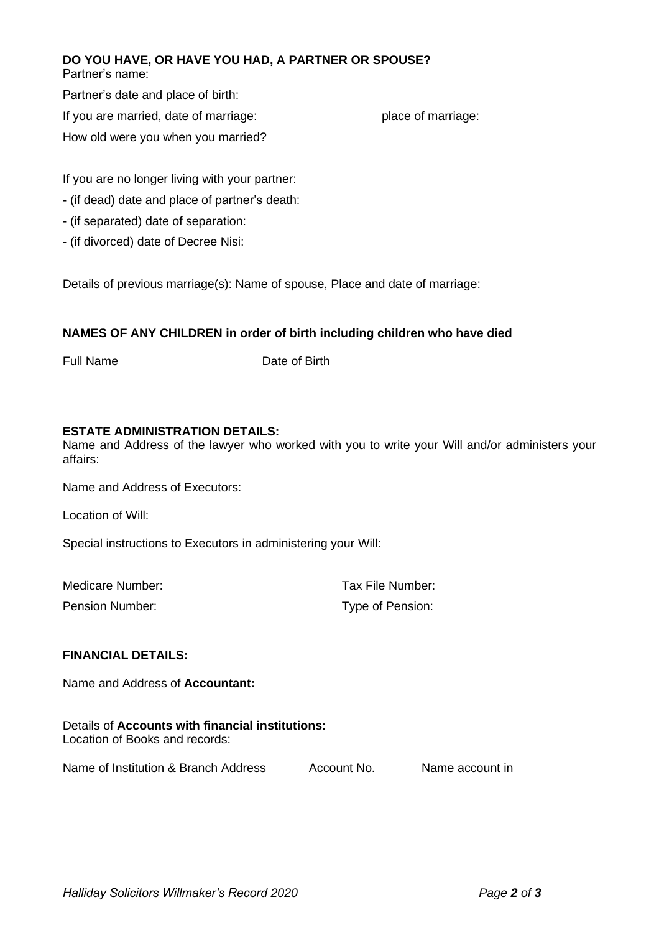### **DO YOU HAVE, OR HAVE YOU HAD, A PARTNER OR SPOUSE?**

Partner's name:

Partner's date and place of birth:

If you are married, date of marriage: place of marriage:

How old were you when you married?

If you are no longer living with your partner:

- (if dead) date and place of partner's death:
- (if separated) date of separation:
- (if divorced) date of Decree Nisi:

Details of previous marriage(s): Name of spouse, Place and date of marriage:

## **NAMES OF ANY CHILDREN in order of birth including children who have died**

Full Name Date of Birth

#### **ESTATE ADMINISTRATION DETAILS:**

Name and Address of the lawyer who worked with you to write your Will and/or administers your affairs:

Name and Address of Executors:

Location of Will:

Special instructions to Executors in administering your Will:

| Medicare Number:       | Tax File Number: |
|------------------------|------------------|
| <b>Pension Number:</b> | Type of Pension: |

### **FINANCIAL DETAILS:**

Name and Address of **Accountant:**

Details of **Accounts with financial institutions:** Location of Books and records:

Name of Institution & Branch Address Account No. Name account in